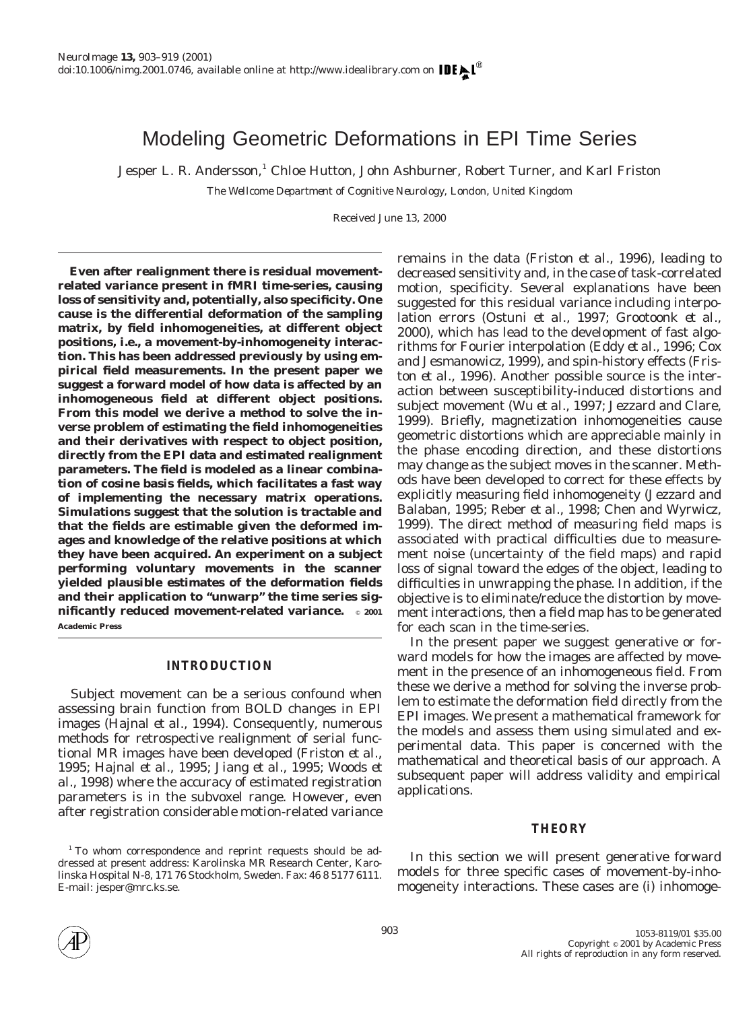# Modeling Geometric Deformations in EPI Time Series

Jesper L. R. Andersson,<sup>1</sup> Chloe Hutton, John Ashburner, Robert Turner, and Karl Friston

*The Wellcome Department of Cognitive Neurology, London, United Kingdom*

Received June 13, 2000

**Even after realignment there is residual movementrelated variance present in fMRI time-series, causing loss of sensitivity and, potentially, also specificity. One cause is the differential deformation of the sampling matrix, by field inhomogeneities, at different object positions, i.e., a movement-by-inhomogeneity interaction. This has been addressed previously by using empirical field measurements. In the present paper we suggest a forward model of how data is affected by an inhomogeneous field at different object positions. From this model we derive a method to solve the inverse problem of estimating the field inhomogeneities and their derivatives with respect to object position, directly from the EPI data and estimated realignment parameters. The field is modeled as a linear combination of cosine basis fields, which facilitates a fast way of implementing the necessary matrix operations. Simulations suggest that the solution is tractable and that the fields are estimable given the deformed images and knowledge of the relative positions at which they have been acquired. An experiment on a subject performing voluntary movements in the scanner yielded plausible estimates of the deformation fields and their application to "unwarp" the time series significantly reduced movement-related variance.** © 2001 **Academic Press**

#### **INTRODUCTION**

Subject movement can be a serious confound when assessing brain function from BOLD changes in EPI images (Hajnal *et al.,* 1994). Consequently, numerous methods for retrospective realignment of serial functional MR images have been developed (Friston *et al.,* 1995; Hajnal *et al.,* 1995; Jiang *et al.,* 1995; Woods *et al.,* 1998) where the accuracy of estimated registration parameters is in the subvoxel range. However, even after registration considerable motion-related variance

remains in the data (Friston *et al.,* 1996), leading to decreased sensitivity and, in the case of task-correlated motion, specificity. Several explanations have been suggested for this residual variance including interpolation errors (Ostuni *et al.,* 1997; Grootoonk *et al.,* 2000), which has lead to the development of fast algorithms for Fourier interpolation (Eddy *et al.,* 1996; Cox and Jesmanowicz, 1999), and spin-history effects (Friston *et al.,* 1996). Another possible source is the interaction between susceptibility-induced distortions and subject movement (Wu *et al.,* 1997; Jezzard and Clare, 1999). Briefly, magnetization inhomogeneities cause geometric distortions which are appreciable mainly in the phase encoding direction, and these distortions may change as the subject moves in the scanner. Methods have been developed to correct for these effects by explicitly measuring field inhomogeneity (Jezzard and Balaban, 1995; Reber *et al.,* 1998; Chen and Wyrwicz, 1999). The direct method of measuring field maps is associated with practical difficulties due to measurement noise (uncertainty of the field maps) and rapid loss of signal toward the edges of the object, leading to difficulties in unwrapping the phase. In addition, if the objective is to eliminate/reduce the distortion by movement interactions, then a field map has to be generated for each scan in the time-series.

In the present paper we suggest generative or forward models for how the images are affected by movement in the presence of an inhomogeneous field. From these we derive a method for solving the inverse problem to estimate the deformation field directly from the EPI images. We present a mathematical framework for the models and assess them using simulated and experimental data. This paper is concerned with the mathematical and theoretical basis of our approach. A subsequent paper will address validity and empirical applications.

#### **THEORY**

In this section we will present generative forward models for three specific cases of movement-by-inhomogeneity interactions. These cases are (i) inhomoge-

<sup>&</sup>lt;sup>1</sup> To whom correspondence and reprint requests should be addressed at present address: Karolinska MR Research Center, Karolinska Hospital N-8, 171 76 Stockholm, Sweden. Fax: 46 8 5177 6111. E-mail: jesper@mrc.ks.se.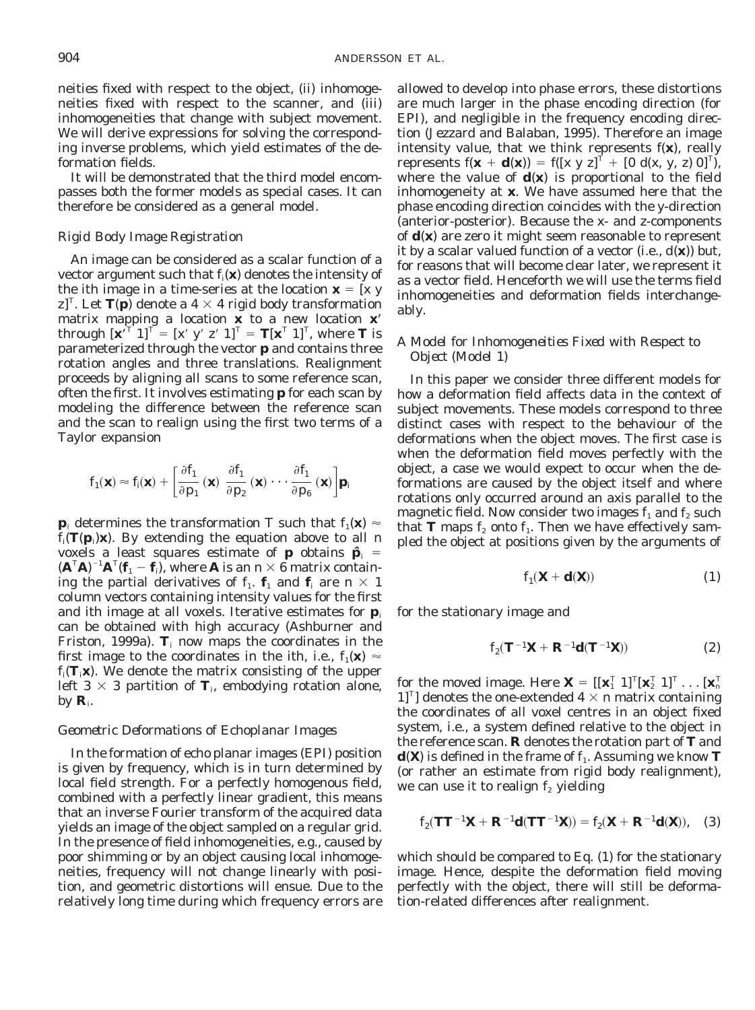neities fixed with respect to the object, (ii) inhomogeneities fixed with respect to the scanner, and (iii) inhomogeneities that change with subject movement. We will derive expressions for solving the corresponding inverse problems, which yield estimates of the deformation fields.

It will be demonstrated that the third model encompasses both the former models as special cases. It can therefore be considered as a general model.

#### *Rigid Body Image Registration*

An image can be considered as a scalar function of a vector argument such that  $f_i(\mathbf{x})$  denotes the intensity of the ith image in a time-series at the location  $\mathbf{x} = [\mathbf{x} \ \mathbf{y}]$  $[z]^{\text{T}}$ . Let  $\textbf{T}(\textbf{p})$  denote a 4  $\times$  4 rigid body transformation matrix mapping a location **x** to a new location **x**\* through  $[\mathbf{x}'^T \; 1]^T = [\mathbf{x}' \; \mathbf{y}' \; \mathbf{z}' \; 1]^T = \mathbf{T}[\mathbf{x}^T \; 1]^T$ , where **T** is parameterized through the vector **p** and contains three rotation angles and three translations. Realignment proceeds by aligning all scans to some reference scan, often the first. It involves estimating **p** for each scan by modeling the difference between the reference scan and the scan to realign using the first two terms of a Taylor expansion

$$
f_1(\mathbf{x}) \approx f_i(\mathbf{x}) + \left[\frac{\partial f_1}{\partial p_1}(\mathbf{x}) \frac{\partial f_1}{\partial p_2}(\mathbf{x}) \cdots \frac{\partial f_1}{\partial p_6}(\mathbf{x})\right] \mathbf{p}_i
$$

**p**<sub>i</sub> determines the transformation T such that  $f_1(\mathbf{x}) \approx$  $f_i(\mathbf{T}(\mathbf{p}_i)\mathbf{x})$ . By extending the equation above to all *n* voxels a least squares estimate of **p** obtains  $\hat{\mathbf{p}}_i$  =  $(A^T A)^{-1} A^T (f_1 - f_i)$ , where **A** is an  $n \times 6$  matrix containing the partial derivatives of  $f_1$ .  $f_1$  and  $f_i$  are  $n \times 1$ column vectors containing intensity values for the first and ith image at all voxels. Iterative estimates for  $\mathbf{p}_i$ can be obtained with high accuracy (Ashburner and Friston, 1999a).  $\mathbf{T}_i$  now maps the coordinates in the first image to the coordinates in the ith, i.e.,  $f_1(\mathbf{x}) \approx$  $f_i(\mathbf{T}_i\mathbf{x})$ . We denote the matrix consisting of the upper left  $3 \times 3$  partition of  $\mathbf{T}_i$ , embodying rotation alone, by **R**i.

#### *Geometric Deformations of Echoplanar Images*

In the formation of echo planar images (EPI) position is given by frequency, which is in turn determined by local field strength. For a perfectly homogenous field, combined with a perfectly linear gradient, this means that an inverse Fourier transform of the acquired data yields an image of the object sampled on a regular grid. In the presence of field inhomogeneities, e.g., caused by poor shimming or by an object causing local inhomogeneities, frequency will not change linearly with position, and geometric distortions will ensue. Due to the relatively long time during which frequency errors are

allowed to develop into phase errors, these distortions are much larger in the phase encoding direction (for EPI), and negligible in the frequency encoding direction (Jezzard and Balaban, 1995). Therefore an image intensity value, that we think represents *f*(**x**), really represents  $f(x + d(x)) = f([x \ y \ z]^T + [0 \ d(x, y, z) \ 0]^T)$ , where the value of  $d(x)$  is proportional to the field inhomogeneity at **x**. We have assumed here that the phase encoding direction coincides with the y-direction (anterior-posterior). Because the x- and z-components of **d**(**x**) are zero it might seem reasonable to represent it by a scalar valued function of a vector (i.e., *d*(**x**)) but, for reasons that will become clear later, we represent it as a vector field. Henceforth we will use the terms field inhomogeneities and deformation fields interchangeably.

### *A Model for Inhomogeneities Fixed with Respect to Object (Model 1)*

In this paper we consider three different models for how a deformation field affects data in the context of subject movements. These models correspond to three distinct cases with respect to the behaviour of the deformations when the object moves. The first case is when the deformation field moves perfectly with the object, a case we would expect to occur when the deformations are caused by the object itself and where rotations only occurred around an axis parallel to the magnetic field. Now consider two images  $f_1$  and  $f_2$  such that **T** maps  $f_2$  onto  $f_1$ . Then we have effectively sampled the object at positions given by the arguments of

$$
f_1(\mathbf{X} + \mathbf{d}(\mathbf{X})) \tag{1}
$$

for the stationary image and

$$
f_2(\mathbf{T}^{-1}\mathbf{X} + \mathbf{R}^{-1}\mathbf{d}(\mathbf{T}^{-1}\mathbf{X})) \tag{2}
$$

for the moved image. Here  $\mathbf{X} = [[\mathbf{x}_1^{\rm T} \; 1]^{\rm T} [\mathbf{x}_2^{\rm T} \; 1]^{\rm T} \dots$   $[\mathbf{x}_n^{\rm T}]$  $1$ <sup>T</sup>] denotes the one-extended  $4 \times n$  matrix containing the coordinates of all voxel centres in an object fixed system, i.e., a system defined relative to the object in the reference scan. **R** denotes the rotation part of **T** and  $d(X)$  is defined in the frame of  $f_1$ . Assuming we know **T** (or rather an estimate from rigid body realignment), we can use it to realign  $f_2$  yielding

$$
f_2(TT^{-1}X + R^{-1}d(TT^{-1}X)) = f_2(X + R^{-1}d(X)), \quad (3)
$$

which should be compared to Eq. (1) for the stationary image. Hence, despite the deformation field moving perfectly with the object, there will still be deformation-related differences after realignment.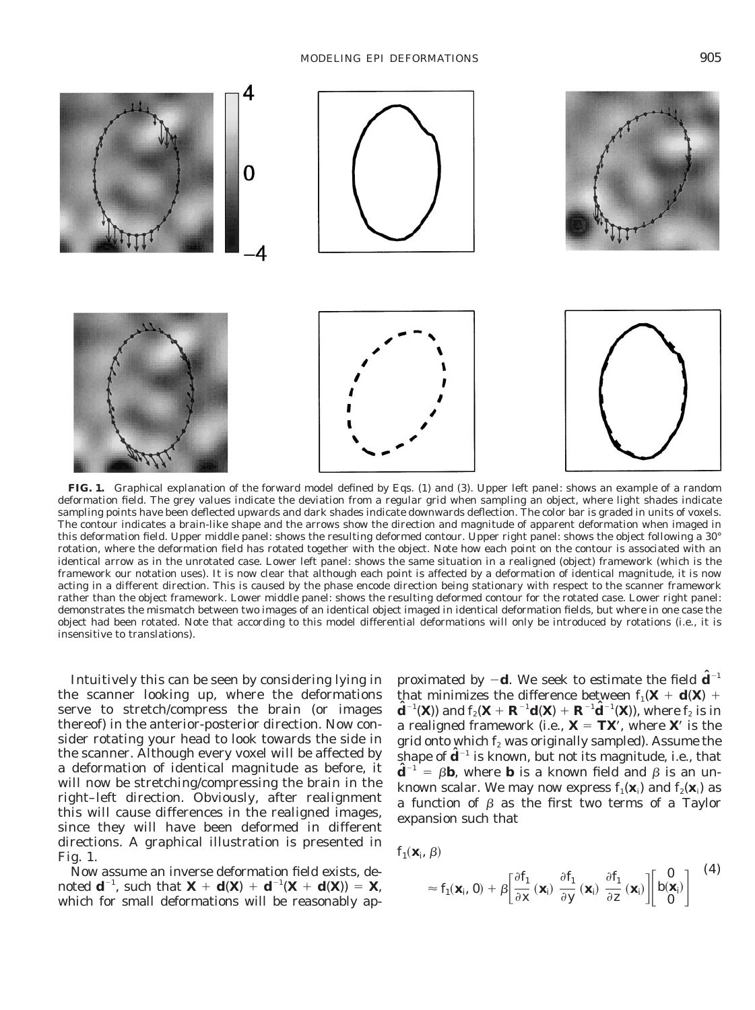

**FIG. 1.** Graphical explanation of the forward model defined by Eqs. (1) and (3). Upper left panel: shows an example of a random deformation field. The grey values indicate the deviation from a regular grid when sampling an object, where light shades indicate sampling points have been deflected upwards and dark shades indicate downwards deflection. The color bar is graded in units of voxels. The contour indicates a brain-like shape and the arrows show the direction and magnitude of apparent deformation when imaged in this deformation field. Upper middle panel: shows the resulting deformed contour. Upper right panel: shows the object following a 30° rotation, where the deformation field has rotated together with the object. Note how each point on the contour is associated with an identical arrow as in the unrotated case. Lower left panel: shows the same situation in a realigned (object) framework (which is the framework our notation uses). It is now clear that although each point is affected by a deformation of identical magnitude, it is now acting in a different direction. This is caused by the phase encode direction being stationary with respect to the scanner framework rather than the object framework. Lower middle panel: shows the resulting deformed contour for the rotated case. Lower right panel: demonstrates the mismatch between two images of an identical object imaged in identical deformation fields, but where in one case the object had been rotated. Note that according to this model differential deformations will only be introduced by rotations (i.e., it is insensitive to translations).

Intuitively this can be seen by considering lying in the scanner looking up, where the deformations serve to stretch/compress the brain (or images thereof) in the anterior-posterior direction. Now consider rotating your head to look towards the side in the scanner. Although every voxel will be affected by a deformation of identical magnitude as before, it will now be stretching/compressing the brain in the right–left direction. Obviously, after realignment this will cause differences in the realigned images, since they will have been deformed in different directions. A graphical illustration is presented in Fig. 1.

Now assume an inverse deformation field exists, denoted **d**<sup>-1</sup>, such that **X** + **d**(**X**) + **d**<sup>-1</sup>(**X** + **d**(**X**)) = **X**, which for small deformations will be reasonably approximated by  $-\mathbf{d}$ . We seek to estimate the field  $\mathbf{d}^{-1}$ that minimizes the difference between  $f_1(\mathbf{X} + \mathbf{d}(\mathbf{X}) + \mathbf{d}(\mathbf{X}))$  $\hat{\mathbf{d}}^{-1}(\mathbf{X})$ ) and  $f_2(\mathbf{X} + \mathbf{R}^{-1}\mathbf{d}(\mathbf{X}) + \mathbf{R}^{-1}\hat{\mathbf{d}}^{-1}(\mathbf{X}))$ , where  $f_2$  is in a realigned framework (i.e.,  $X = TX'$ , where X' is the grid onto which  $f_2$  was originally sampled). Assume the shape of  $\hat{\mathbf{d}}^{-1}$  is known, but not its magnitude, i.e., that  $\hat{\mathbf{d}}^{-1} = \beta \mathbf{b}$ , where **b** is a known field and  $\beta$  is an unknown scalar. We may now express  $f_1(\mathbf{x}_i)$  and  $f_2(\mathbf{x}_i)$  as a function of  $\beta$  as the first two terms of a Taylor expansion such that

 $f_1(\mathbf{x}_i, \beta)$ 

$$
\approx f_{1}(\mathbf{x}_{i}, 0) + \beta \left[ \frac{\partial f_{1}}{\partial x} \left( \mathbf{x}_{i} \right) \frac{\partial f_{1}}{\partial y} \left( \mathbf{x}_{i} \right) \frac{\partial f_{1}}{\partial z} \left( \mathbf{x}_{i} \right) \right] \left[ \begin{array}{c} 0 \\ b(\mathbf{x}_{i}) \\ 0 \end{array} \right] \tag{4}
$$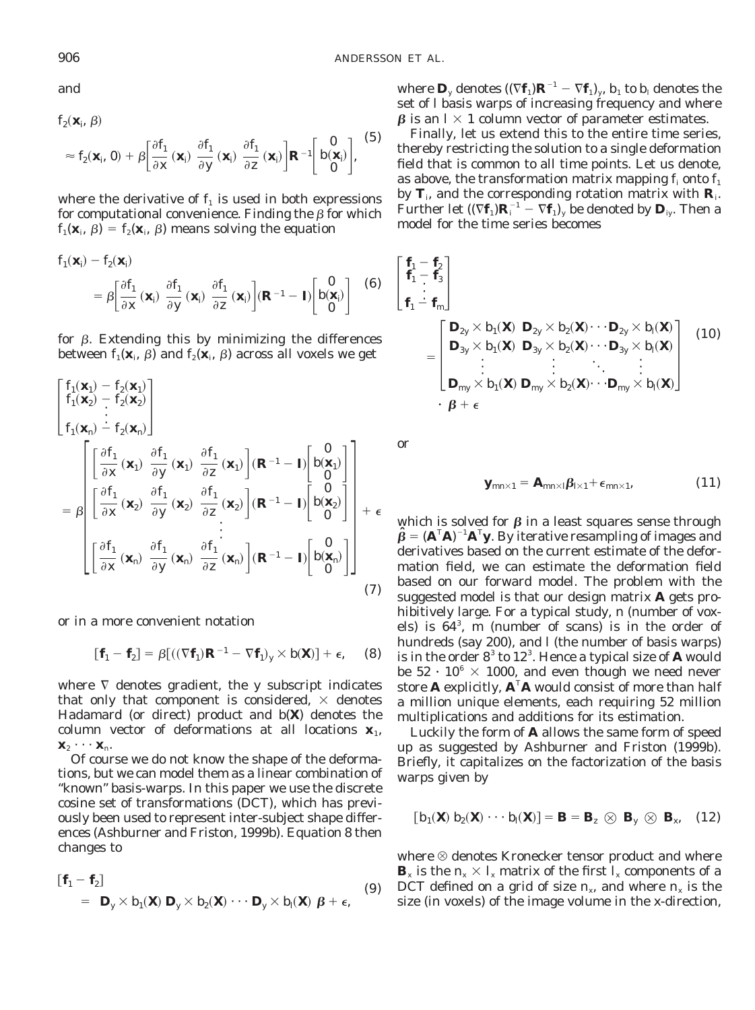and

 $f_2(\mathbf{x}_i, \beta)$ 

$$
\approx f_2(\mathbf{x}_i, 0) + \beta \left[ \frac{\partial f_1}{\partial x} \left( \mathbf{x}_i \right) \frac{\partial f_1}{\partial y} \left( \mathbf{x}_i \right) \frac{\partial f_1}{\partial z} \left( \mathbf{x}_i \right) \right] \mathbf{R}^{-1} \left[ \begin{array}{c} 0 \\ b(\mathbf{x}_i) \\ 0 \end{array} \right], \tag{5}
$$

where the derivative of  $f_1$  is used in both expressions for computational convenience. Finding the  $\beta$  for which  $f_1(\mathbf{x}_i, \beta) = f_2(\mathbf{x}_i, \beta)$  means solving the equation

$$
f_1(\mathbf{x}_i) - f_2(\mathbf{x}_i)
$$
  
=  $\beta \left[ \frac{\partial f_1}{\partial x} (\mathbf{x}_i) \frac{\partial f_1}{\partial y} (\mathbf{x}_i) \frac{\partial f_1}{\partial z} (\mathbf{x}_i) \right] (\mathbf{R}^{-1} - \mathbf{I}) \left[ \frac{\partial}{\partial y} \right]$  (6)

for  $\beta$ . Extending this by minimizing the differences between  $f_1(\mathbf{x}_i, \beta)$  and  $f_2(\mathbf{x}_i, \beta)$  across all voxels we get

$$
\begin{bmatrix}\nf_1(\mathbf{x}_1) - f_2(\mathbf{x}_1) \\
f_1(\mathbf{x}_2) - f_2(\mathbf{x}_2) \\
\vdots \\
f_1(\mathbf{x}_n) - f_2(\mathbf{x}_n)\n\end{bmatrix}
$$
\n
$$
= \beta \begin{bmatrix}\n\frac{\partial f_1}{\partial x} (\mathbf{x}_1) & \frac{\partial f_1}{\partial y} (\mathbf{x}_1) & \frac{\partial f_1}{\partial z} (\mathbf{x}_1) \\
\frac{\partial f_1}{\partial x} (\mathbf{x}_2) & \frac{\partial f_1}{\partial y} (\mathbf{x}_2) & \frac{\partial f_1}{\partial z} (\mathbf{x}_2) \\
\vdots \\
\frac{\partial f_1}{\partial x} (\mathbf{x}_n) & \frac{\partial f_1}{\partial y} (\mathbf{x}_n) & \frac{\partial f_1}{\partial z} (\mathbf{x}_n)\n\end{bmatrix}\n\begin{bmatrix}\n\mathbf{R}^{-1} - \mathbf{I} \\
\mathbf{b}(\mathbf{x}_1) \\
\mathbf{0}\n\end{bmatrix} + \epsilon
$$
\n
$$
\begin{bmatrix}\n\frac{\partial f_1}{\partial x} (\mathbf{x}_n) & \frac{\partial f_1}{\partial y} (\mathbf{x}_n) & \frac{\partial f_1}{\partial z} (\mathbf{x}_n) \\
\frac{\partial f_1}{\partial x} (\mathbf{x}_n) & \frac{\partial f_1}{\partial z} (\mathbf{x}_n)\n\end{bmatrix}\n\begin{bmatrix}\n\mathbf{R}^{-1} - \mathbf{I} \\
\mathbf{b}(\mathbf{x}_n) \\
\mathbf{0}\n\end{bmatrix}
$$
\n(7)

or in a more convenient notation

$$
[\mathbf{f}_1 - \mathbf{f}_2] = \beta [((\nabla \mathbf{f}_1) \mathbf{R}^{-1} - \nabla \mathbf{f}_1)_y \times b(\mathbf{X})] + \epsilon, \quad (8)
$$

where  $\nabla$  denotes gradient, the y subscript indicates that only that component is considered,  $\times$  denotes Hadamard (or direct) product and *b*(**X**) denotes the column vector of deformations at all locations  $\mathbf{x}_1$ ,  $\mathbf{x}_2 \cdot \cdot \cdot \mathbf{x}_n$ 

Of course we do not know the shape of the deformations, but we can model them as a linear combination of "known" basis-warps. In this paper we use the discrete cosine set of transformations (DCT), which has previously been used to represent inter-subject shape differences (Ashburner and Friston, 1999b). Equation 8 then changes to

$$
\begin{aligned} [\mathbf{f}_1 - \mathbf{f}_2] \\ &= \lfloor \mathbf{D}_y \times b_1(\mathbf{X}) \mathbf{D}_y \times b_2(\mathbf{X}) \cdots \mathbf{D}_y \times b_l(\mathbf{X}) \rfloor \boldsymbol{\beta} + \epsilon, \end{aligned} \tag{9}
$$

where  $\mathbf{D}_y$  denotes  $((\nabla \mathbf{f}_1)\mathbf{R}^{-1} - \nabla \mathbf{f}_1)_y$ ,  $b_1$  to  $b_i$  denotes the set of *l* basis warps of increasing frequency and where  $\beta$  is an  $l \times 1$  column vector of parameter estimates.

Finally, let us extend this to the entire time series, thereby restricting the solution to a single deformation field that is common to all time points. Let us denote, as above, the transformation matrix mapping  $f_i$  onto  $f_1$ by  $\mathbf{T}_i$ , and the corresponding rotation matrix with  $\mathbf{R}_i$ . Further let  $((\nabla \mathbf{f}_1)\mathbf{R}_1^{-1} - \nabla \mathbf{f}_1)_y$  be denoted by  $\mathbf{D}_{iy}$ . Then a model for the time series becomes

$$
\mathbf{f}_1 - \mathbf{f}_2
$$
\n
$$
\mathbf{f}_1 - \mathbf{f}_3
$$
\n
$$
\mathbf{f}_1 - \mathbf{f}_2
$$
\n
$$
\mathbf{f}_2 - \mathbf{f}_3
$$
\n
$$
= \begin{bmatrix}\n\mathbf{D}_{2y} \times b_1(\mathbf{X}) & \mathbf{D}_{2y} \times b_2(\mathbf{X}) \cdots \mathbf{D}_{2y} \times b_l(\mathbf{X}) \\
\mathbf{D}_{3y} \times b_1(\mathbf{X}) & \mathbf{D}_{3y} \times b_2(\mathbf{X}) \cdots \mathbf{D}_{3y} \times b_l(\mathbf{X}) \\
\vdots & \vdots & \ddots & \vdots \\
\mathbf{D}_{my} \times b_1(\mathbf{X}) & \mathbf{D}_{my} \times b_2(\mathbf{X}) \cdots \mathbf{D}_{my} \times b_l(\mathbf{X})\n\end{bmatrix}
$$
\n(10)\n
$$
\mathbf{B} + \epsilon
$$

or

 $\overline{\phantom{a}}$ 

$$
\mathbf{y}_{mn\times 1} = \mathbf{A}_{mn\times l} \mathbf{\beta}_{l\times 1} + \epsilon_{mn\times 1},\tag{11}
$$

which is solved for  $\beta$  in a least squares sense through  $\hat{\beta} = (A^T A)^{-1} A^T y$ . By iterative resampling of images and derivatives based on the current estimate of the deformation field, we can estimate the deformation field based on our forward model. The problem with the suggested model is that our design matrix **A** gets prohibitively large. For a typical study, *n* (number of voxels) is 64<sup>3</sup> , *m* (number of scans) is in the order of hundreds (say 200), and *l* (the number of basis warps) is in the order  $8^3$  to  $12^3$ . Hence a typical size of  $\bf A$  would be  $52 \cdot 10^6 \times 1000$ , and even though we need never store  $\bf{A}$  explicitly,  ${\bf A}^T{\bf A}$  would consist of more than half a million unique elements, each requiring 52 million multiplications and additions for its estimation.

Luckily the form of **A** allows the same form of speed up as suggested by Ashburner and Friston (1999b). Briefly, it capitalizes on the factorization of the basis warps given by

$$
[\mathbf{b}_1(\mathbf{X}) \ \mathbf{b}_2(\mathbf{X}) \ \cdots \ \mathbf{b}_l(\mathbf{X})] = \mathbf{B} = \mathbf{B}_z \ \otimes \ \mathbf{B}_y \ \otimes \ \mathbf{B}_x, \quad (12)
$$

where  $\otimes$  denotes Kronecker tensor product and where  $\mathbf{B}_x$  is the  $n_x \times l_x$  matrix of the first  $l_x$  components of a DCT defined on a grid of size  $n_x$ , and where  $n_x$  is the size (in voxels) of the image volume in the x-direction,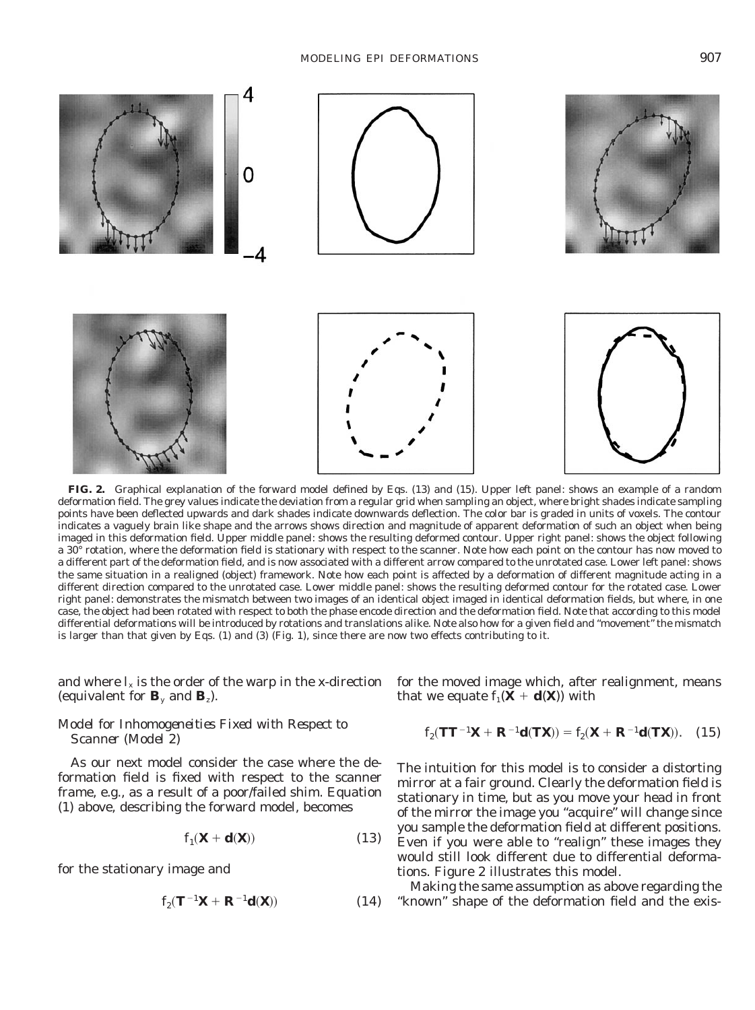

**FIG. 2.** Graphical explanation of the forward model defined by Eqs. (13) and (15). Upper left panel: shows an example of a random deformation field. The grey values indicate the deviation from a regular grid when sampling an object, where bright shades indicate sampling points have been deflected upwards and dark shades indicate downwards deflection. The color bar is graded in units of voxels. The contour indicates a vaguely brain like shape and the arrows shows direction and magnitude of apparent deformation of such an object when being imaged in this deformation field. Upper middle panel: shows the resulting deformed contour. Upper right panel: shows the object following a 30° rotation, where the deformation field is stationary with respect to the scanner. Note how each point on the contour has now moved to a different part of the deformation field, and is now associated with a different arrow compared to the unrotated case. Lower left panel: shows the same situation in a realigned (object) framework. Note how each point is affected by a deformation of different magnitude acting in a different direction compared to the unrotated case. Lower middle panel: shows the resulting deformed contour for the rotated case. Lower right panel: demonstrates the mismatch between two images of an identical object imaged in identical deformation fields, but where, in one case, the object had been rotated with respect to both the phase encode direction and the deformation field. Note that according to this model differential deformations will be introduced by rotations and translations alike. Note also how for a given field and "movement" the mismatch is larger than that given by Eqs. (1) and (3) (Fig. 1), since there are now two effects contributing to it.

and where  $I_x$  is the order of the warp in the x-direction (equivalent for  $\mathbf{B}_y$  and  $\mathbf{B}_z$ ).

*Model for Inhomogeneities Fixed with Respect to Scanner (Model 2)*

As our next model consider the case where the deformation field is fixed with respect to the scanner frame, e.g., as a result of a poor/failed shim. Equation (1) above, describing the forward model, becomes

$$
f_1(\mathbf{X} + \mathbf{d}(\mathbf{X})) \tag{13}
$$

for the stationary image and

$$
f_2(\mathbf{T}^{-1}\mathbf{X} + \mathbf{R}^{-1}\mathbf{d}(\mathbf{X})) \tag{14}
$$

for the moved image which, after realignment, means that we equate  $f_1(\mathbf{X} + \mathbf{d}(\mathbf{X}))$  with

$$
f_2(\mathbf{TT}^{-1}\mathbf{X} + \mathbf{R}^{-1}\mathbf{d}(\mathbf{TX})) = f_2(\mathbf{X} + \mathbf{R}^{-1}\mathbf{d}(\mathbf{TX})). \quad (15)
$$

The intuition for this model is to consider a distorting mirror at a fair ground. Clearly the deformation field is stationary in time, but as you move your head in front of the mirror the image you "acquire" will change since you sample the deformation field at different positions. Even if you were able to "realign" these images they would still look different due to differential deformations. Figure 2 illustrates this model.

Making the same assumption as above regarding the "known" shape of the deformation field and the exis-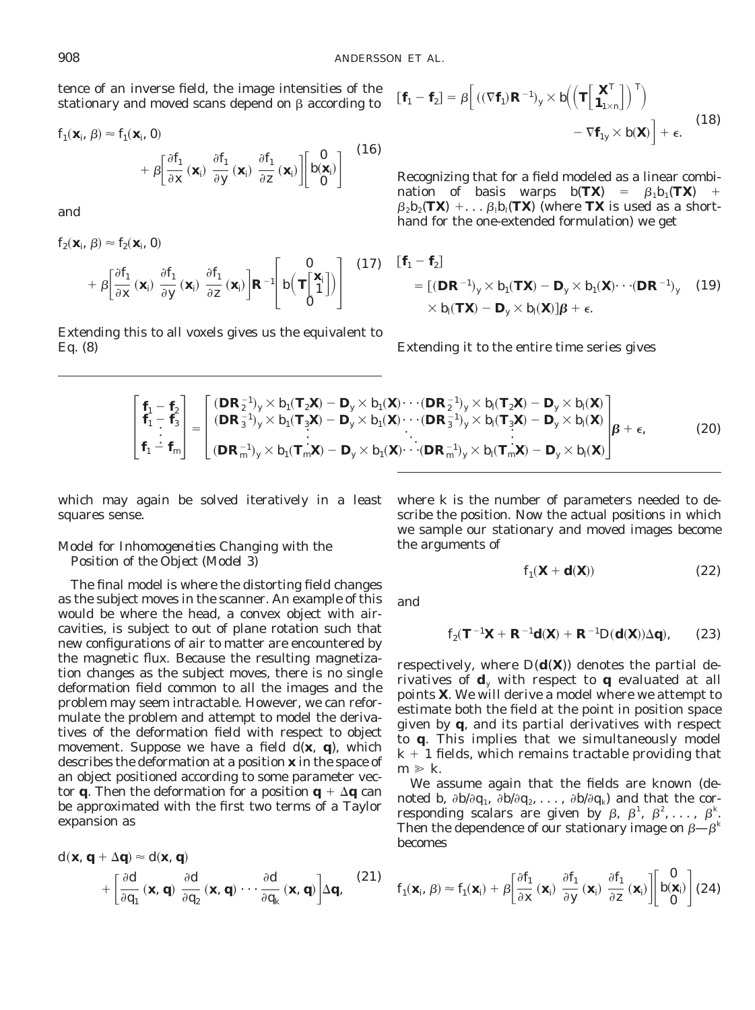tence of an inverse field, the image intensities of the stationary and moved scans depend on  $\beta$  according to

$$
f_1(\mathbf{x}_i, \beta) \approx f_1(\mathbf{x}_i, 0)
$$
  
+  $\beta \left[ \frac{\partial f_1}{\partial x} (\mathbf{x}_i) \frac{\partial f_1}{\partial y} (\mathbf{x}_i) \frac{\partial f_1}{\partial z} (\mathbf{x}_i) \right] \left[ \begin{matrix} 0 \\ b(\mathbf{x}_i) \\ 0 \end{matrix} \right]$  (16)

and

$$
f_2(\mathbf{x}_i, \beta) \approx f_2(\mathbf{x}_i, 0)
$$
  
+  $\beta \left[ \frac{\partial f_1}{\partial x} (\mathbf{x}_i) \frac{\partial f_1}{\partial y} (\mathbf{x}_i) \frac{\partial f_1}{\partial z} (\mathbf{x}_i) \right] \mathbf{R}^{-1} \left[ b \left( \mathbf{T} \begin{bmatrix} \mathbf{x}_i \\ 1 \end{bmatrix} \right) \right]$  (17)

Extending this to all voxels gives us the equivalent to Eq. (8)

$$
\begin{aligned} [\mathbf{f}_1 - \mathbf{f}_2] &= \beta \Big[ \left( (\nabla \mathbf{f}_1) \mathbf{R}^{-1} \right)_y \times b \Big( \Big( \mathbf{T} \Big[ \begin{array}{c} \mathbf{X}^T \\ \mathbf{1}_{1 \times n} \end{array} \Big] \Big)^T \Big) \\ &- \nabla \mathbf{f}_{1y} \times b(\mathbf{X}) \Big] + \epsilon. \end{aligned} \tag{18}
$$

Recognizing that for a field modeled as a linear combination of basis warps  $b(TX) = \beta_1 b_1(TX)$  $\beta_2$ **b**<sub>2</sub>(**TX**) +...  $\beta_1$ **b**<sub>1</sub>(**TX**) (where **TX** is used as a shorthand for the one-extended formulation) we get

$$
\begin{aligned} \left[\mathbf{f}_1 - \mathbf{f}_2\right] \\ &= \left[ (\mathbf{DR}^{-1})_y \times b_1(\mathbf{TX}) - \mathbf{D}_y \times b_1(\mathbf{X}) \cdots (\mathbf{DR}^{-1})_y \right] \quad (19) \\ &\times b_f(\mathbf{TX}) - \mathbf{D}_y \times b_f(\mathbf{X}) \right] \boldsymbol{\beta} + \epsilon. \end{aligned}
$$

Extending it to the entire time series gives

$$
\begin{bmatrix}\n\mathbf{f}_1 - \mathbf{f}_2 \\
\mathbf{f}_1 - \mathbf{f}_3 \\
\mathbf{f}_1 - \mathbf{f}_3 \\
\mathbf{f}_1 - \mathbf{f}_2\n\end{bmatrix} = \begin{bmatrix}\n(\mathbf{D}\mathbf{R}_2^{-1})_y \times b_1(\mathbf{T}_2\mathbf{X}) - \mathbf{D}_y \times b_1(\mathbf{X}) \cdots (\mathbf{D}\mathbf{R}_2^{-1})_y \times b_l(\mathbf{T}_2\mathbf{X}) - \mathbf{D}_y \times b_l(\mathbf{X}) \\
(\mathbf{D}\mathbf{R}_3^{-1})_y \times b_1(\mathbf{T}_3\mathbf{X}) - \mathbf{D}_y \times b_1(\mathbf{X}) \cdots (\mathbf{D}\mathbf{R}_3^{-1})_y \times b_l(\mathbf{T}_3\mathbf{X}) - \mathbf{D}_y \times b_l(\mathbf{X}) \\
\vdots \\
(\mathbf{D}\mathbf{R}_m^{-1})_y \times b_1(\mathbf{T}_m\mathbf{X}) - \mathbf{D}_y \times b_1(\mathbf{X}) \cdots (\mathbf{D}\mathbf{R}_m^{-1})_y \times b_l(\mathbf{T}_m\mathbf{X}) - \mathbf{D}_y \times b_l(\mathbf{X})\n\end{bmatrix}\n\mathbf{\beta} + \epsilon,
$$
\n(20)

which may again be solved iteratively in a least squares sense.

# *Model for Inhomogeneities Changing with the Position of the Object (Model 3)*

The final model is where the distorting field changes as the subject moves in the scanner. An example of this would be where the head, a convex object with aircavities, is subject to out of plane rotation such that new configurations of air to matter are encountered by the magnetic flux. Because the resulting magnetization changes as the subject moves, there is no single deformation field common to all the images and the problem may seem intractable. However, we can reformulate the problem and attempt to model the derivatives of the deformation field with respect to object movement. Suppose we have a field *d*(**x**, **q**), which describes the deformation at a position **x** in the space of an object positioned according to some parameter vector **q**. Then the deformation for a position **q** +  $\Delta$ **q** can be approximated with the first two terms of a Taylor expansion as

$$
d(\mathbf{x}, \mathbf{q} + \Delta \mathbf{q}) \approx d(\mathbf{x}, \mathbf{q})
$$
  
+ 
$$
\left[\frac{\partial d}{\partial q_1}(\mathbf{x}, \mathbf{q}) \frac{\partial d}{\partial q_2}(\mathbf{x}, \mathbf{q}) \cdots \frac{\partial d}{\partial q_k}(\mathbf{x}, \mathbf{q})\right] \Delta \mathbf{q},
$$
 (21)

where *k* is the number of parameters needed to describe the position. Now the actual positions in which we sample our stationary and moved images become the arguments of

$$
f_1(\mathbf{X} + \mathbf{d}(\mathbf{X})) \tag{22}
$$

and

$$
f_2(\mathbf{T}^{-1}\mathbf{X} + \mathbf{R}^{-1}\mathbf{d}(\mathbf{X}) + \mathbf{R}^{-1}D(\mathbf{d}(\mathbf{X}))\Delta\mathbf{q}),
$$
 (23)

respectively, where  $D(\mathbf{d}(\mathbf{X}))$  denotes the partial derivatives of  $\mathbf{d}_y$  with respect to **q** evaluated at all points **X**. We will derive a model where we attempt to estimate both the field at the point in position space given by **q**, and its partial derivatives with respect to **q**. This implies that we simultaneously model  $k + 1$  fields, which remains tractable providing that  $m \geq k$ .

We assume again that the fields are known (denoted *b*,  $\partial b/\partial q_1$ ,  $\partial b/\partial q_2$ , ...,  $\partial b/\partial q_k$  and that the corresponding scalars are given by  $\beta$ ,  $\beta^1$ ,  $\beta^2$ , ...,  $\beta^k$ . Then the dependence of our stationary image on  $\beta-\beta^k$ becomes

$$
f_1(\mathbf{x}_i, \beta) \approx f_1(\mathbf{x}_i) + \beta \left[ \frac{\partial f_1}{\partial x} \left( \mathbf{x}_i \right) \frac{\partial f_1}{\partial y} \left( \mathbf{x}_i \right) \frac{\partial f_1}{\partial z} \left( \mathbf{x}_i \right) \right] \left[ \frac{\mathbf{0}}{\mathbf{0}} \mathbf{x}_i \right] \tag{24}
$$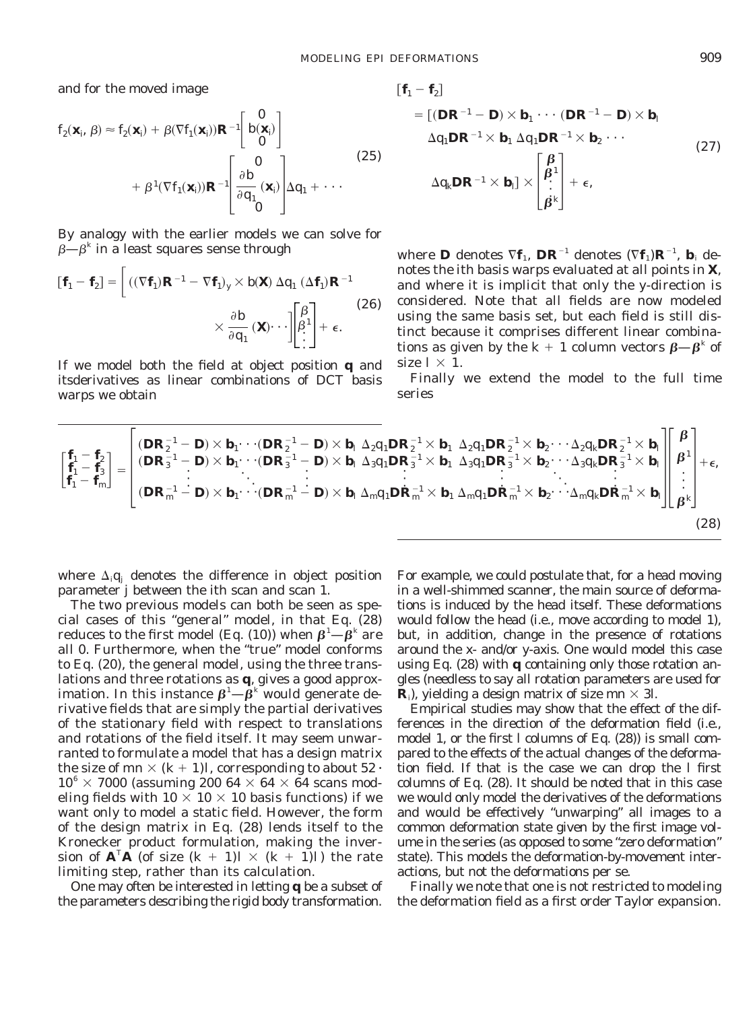and for the moved image

τ.

$$
f_2(\mathbf{x}_i, \beta) \approx f_2(\mathbf{x}_i) + \beta(\nabla f_1(\mathbf{x}_i)) \mathbf{R}^{-1} \begin{bmatrix} 0 \\ b(\mathbf{x}_i) \\ 0 \end{bmatrix} + \beta^1(\nabla f_1(\mathbf{x}_i)) \mathbf{R}^{-1} \begin{bmatrix} 0 \\ \frac{\partial b}{\partial q_1} \\ 0 \end{bmatrix} \Delta q_1 + \cdots
$$
\n(25)

By analogy with the earlier models we can solve for  $\beta-\beta^k$  in a least squares sense through

$$
\begin{aligned} [\mathbf{f}_1 - \mathbf{f}_2] &= \left[ \left( (\nabla \mathbf{f}_1) \mathbf{R}^{-1} - \nabla \mathbf{f}_1 \right)_y \times b(\mathbf{X}) \, \Delta q_1 \, (\Delta \mathbf{f}_1) \mathbf{R}^{-1} \right. \\ &\times \frac{\partial b}{\partial q_1} \left( \mathbf{X} \right) \dots \left[ \begin{matrix} \beta \\ \beta^1 \\ \vdots \end{matrix} \right] + \epsilon. \end{aligned} \tag{26}
$$

If we model both the field at object position **q** and itsderivatives as linear combinations of DCT basis warps we obtain

$$
[\mathbf{f}_1 - \mathbf{f}_2]
$$

$$
= [(\mathbf{DR}^{-1} - \mathbf{D}) \times \mathbf{b}_1 \cdots (\mathbf{DR}^{-1} - \mathbf{D}) \times \mathbf{b}_l
$$
  
\n
$$
\Delta q_1 \mathbf{DR}^{-1} \times \mathbf{b}_1 \Delta q_1 \mathbf{DR}^{-1} \times \mathbf{b}_2 \cdots
$$
  
\n
$$
\Delta q_k \mathbf{DR}^{-1} \times \mathbf{b}_l] \times \begin{bmatrix} \beta \\ \beta^1 \\ \vdots \\ \beta^k \end{bmatrix} + \epsilon,
$$
\n(27)

where **D** denotes  $\nabla \mathbf{f}_1$ ,  $\mathbf{DR}^{-1}$  denotes  $(\nabla \mathbf{f}_1)\mathbf{R}^{-1}$ ,  $\mathbf{b}_1$  denotes the ith basis warps evaluated at all points in **X**, and where it is implicit that only the y-direction is considered. Note that all fields are now modeled using the same basis set, but each field is still distinct because it comprises different linear combinations as given by the  $k + 1$  column vectors  $\beta - \beta^k$  of size  $l \times 1$ .

Finally we extend the model to the full time series

$$
\begin{bmatrix}\n\mathbf{f}_1 - \mathbf{f}_2 \\
\mathbf{f}_1 - \mathbf{f}_3 \\
\mathbf{f}_1 - \mathbf{f}_3 \\
\mathbf{f}_1 - \mathbf{f}_m\n\end{bmatrix} = \begin{bmatrix}\n(\mathbf{DR}_2^{-1} - \mathbf{D}) \times \mathbf{b}_1 \cdots (\mathbf{DR}_2^{-1} - \mathbf{D}) \times \mathbf{b}_1 \Delta_2 q_1 \mathbf{DR}_2^{-1} \times \mathbf{b}_1 \Delta_2 q_1 \mathbf{DR}_2^{-1} \times \mathbf{b}_2 \cdots \Delta_2 q_k \mathbf{DR}_2^{-1} \times \mathbf{b}_l \\
(\mathbf{DR}_3^{-1} - \mathbf{D}) \times \mathbf{b}_1 \cdots (\mathbf{DR}_3^{-1} - \mathbf{D}) \times \mathbf{b}_1 \Delta_3 q_1 \mathbf{DR}_3^{-1} \times \mathbf{b}_1 \Delta_3 q_1 \mathbf{DR}_3^{-1} \times \mathbf{b}_2 \cdots \Delta_3 q_k \mathbf{DR}_3^{-1} \times \mathbf{b}_l\n\end{bmatrix}\n\begin{bmatrix}\n\boldsymbol{\beta} \\
\boldsymbol{\beta} \\
\boldsymbol{\beta} \\
\boldsymbol{\beta}\n\end{bmatrix} + \boldsymbol{\epsilon},
$$
\n
$$
(\mathbf{DR}_m^{-1} - \mathbf{D}) \times \mathbf{b}_1 \cdots (\mathbf{DR}_m^{-1} - \mathbf{D}) \times \mathbf{b}_1 \Delta_m q_1 \mathbf{DR}_m^{-1} \times \mathbf{b}_1 \Delta_m q_1 \mathbf{DR}_m^{-1} \times \mathbf{b}_2 \cdots \Delta_m q_k \mathbf{DR}_m^{-1} \times \mathbf{b}_l\n\end{bmatrix}\n\begin{bmatrix}\n\boldsymbol{\beta} \\
\boldsymbol{\beta} \\
\boldsymbol{\beta} \\
\boldsymbol{\beta}\n\end{bmatrix} + \boldsymbol{\epsilon},
$$
\n(28)

where  $\Delta_i q_j$  denotes the difference in object position parameter *j* between the ith scan and scan 1.

The two previous models can both be seen as special cases of this "general" model, in that Eq. (28) reduces to the first model (Eq. (10)) when  $\boldsymbol{\beta}^1$ — $\boldsymbol{\beta}^k$  are all 0. Furthermore, when the "true" model conforms to Eq. (20), the general model, using the three translations and three rotations as **q**, gives a good approximation. In this instance  $\beta^1$ - $\beta^k$  would generate derivative fields that are simply the partial derivatives of the stationary field with respect to translations and rotations of the field itself. It may seem unwarranted to formulate a model that has a design matrix the size of  $mn \times (k + 1)$ *l*, corresponding to about 52  $\cdot$  $10^6 \times 7000$  (assuming 200 64  $\times$  64  $\times$  64 scans modeling fields with  $10 \times 10 \times 10$  basis functions) if we want only to model a static field. However, the form of the design matrix in Eq. (28) lends itself to the Kronecker product formulation, making the inversion of  $A^T A$  (of size  $(k + 1)I \times (k + 1)I$ ) the rate limiting step, rather than its calculation.

One may often be interested in letting **q** be a subset of the parameters describing the rigid body transformation.

For example, we could postulate that, for a head moving in a well-shimmed scanner, the main source of deformations is induced by the head itself. These deformations would follow the head (i.e., move according to model 1), but, in addition, change in the presence of rotations around the x- and/or y-axis. One would model this case using Eq. (28) with **q** containing only those rotation angles (needless to say all rotation parameters are used for **R**<sub>i</sub>), yielding a design matrix of size  $mn \times 3l$ .

Empirical studies may show that the effect of the differences in the direction of the deformation field (i.e., model 1, or the first *l* columns of Eq. (28)) is small compared to the effects of the actual changes of the deformation field. If that is the case we can drop the *l* first columns of Eq. (28). It should be noted that in this case we would only model the derivatives of the deformations and would be effectively "unwarping" all images to a common deformation state given by the first image volume in the series (as opposed to some "zero deformation" state). This models the deformation-by-movement interactions, but not the deformations per se.

Finally we note that one is not restricted to modeling the deformation field as a first order Taylor expansion.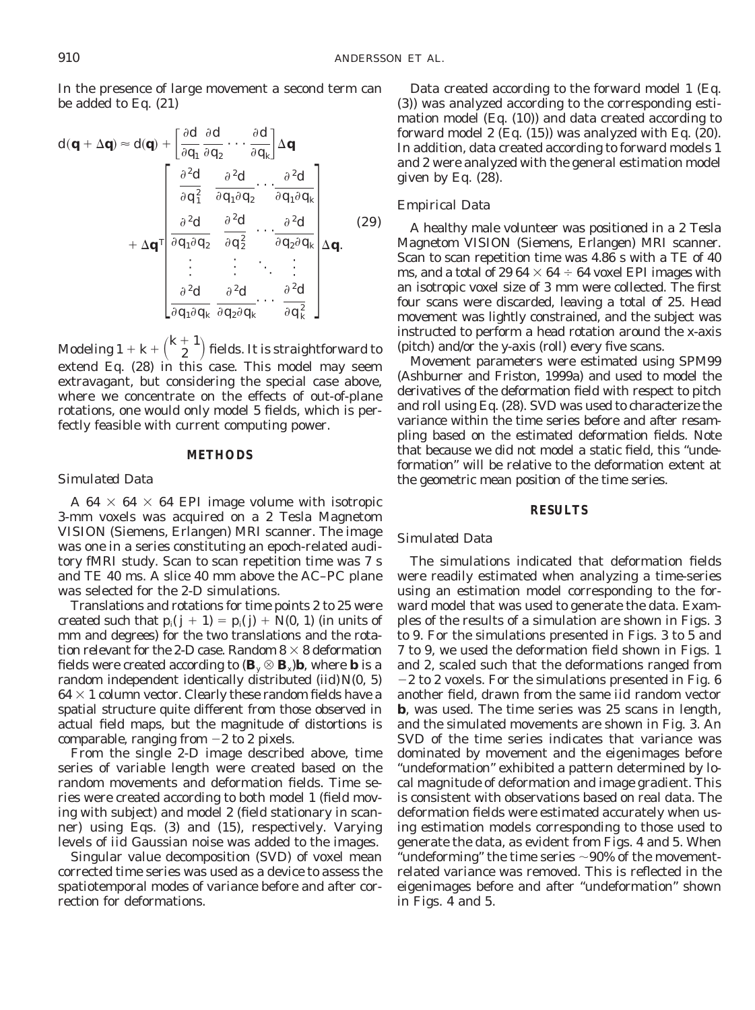In the presence of large movement a second term can be added to Eq. (21)

$$
d(\mathbf{q} + \Delta \mathbf{q}) \approx d(\mathbf{q}) + \left[\frac{\partial d}{\partial q_1} \frac{\partial d}{\partial q_2} \cdots \frac{\partial d}{\partial q_k}\right] \Delta \mathbf{q}
$$
  

$$
\begin{bmatrix} \frac{\partial^2 d}{\partial q_1^2} & \frac{\partial^2 d}{\partial q_1 \partial q_2} \cdots \frac{\partial^2 d}{\partial q_1 \partial q_k} \\ \frac{\partial^2 d}{\partial q_1 \partial q_2} & \frac{\partial^2 d}{\partial q_2^2} & \frac{\partial^2 d}{\partial q_2 \partial q_k} \\ \vdots & \vdots & \ddots & \vdots \\ \frac{\partial^2 d}{\partial q_1 \partial q_k} & \frac{\partial^2 d}{\partial q_2 \partial q_k} \cdots \frac{\partial^2 d}{\partial q_k^2} \end{bmatrix} (\mathbf{29})
$$

Modeling 1 +  $k + {k + 1 \choose 2}$  fields. It is straightforward to extend Eq. (28) in this case. This model may seem extravagant, but considering the special case above, where we concentrate on the effects of out-of-plane rotations, one would only model 5 fields, which is perfectly feasible with current computing power.

#### **METHODS**

#### *Simulated Data*

A 64  $\times$  64  $\times$  64 EPI image volume with isotropic 3-mm voxels was acquired on a 2 Tesla Magnetom VISION (Siemens, Erlangen) MRI scanner. The image was one in a series constituting an epoch-related auditory fMRI study. Scan to scan repetition time was 7 s and *TE* 40 ms. A slice 40 mm above the AC–PC plane was selected for the 2-D simulations.

Translations and rotations for time points 2 to 25 were created such that  $p_i(j + 1) = p_i(j) + N(0, 1)$  (in units of mm and degrees) for the two translations and the rotation relevant for the 2-D case. Random  $8 \times 8$  deformation fields were created according to  $(\mathbf{B}_v \otimes \mathbf{B}_x)\mathbf{b}$ , where **b** is a random independent identically distributed (*iid*)*N*(0, 5)  $64 \times 1$  column vector. Clearly these random fields have a spatial structure quite different from those observed in actual field maps, but the magnitude of distortions is comparable, ranging from  $-2$  to 2 pixels.

From the single 2-D image described above, time series of variable length were created based on the random movements and deformation fields. Time series were created according to both model 1 (field moving with subject) and model 2 (field stationary in scanner) using Eqs. (3) and (15), respectively. Varying levels of *iid* Gaussian noise was added to the images.

Singular value decomposition (SVD) of voxel mean corrected time series was used as a device to assess the spatiotemporal modes of variance before and after correction for deformations.

Data created according to the forward model 1 (Eq. (3)) was analyzed according to the corresponding estimation model (Eq. (10)) and data created according to forward model 2 (Eq. (15)) was analyzed with Eq. (20). In addition, data created according to forward models 1 and 2 were analyzed with the general estimation model given by Eq. (28).

#### *Empirical Data*

A healthy male volunteer was positioned in a 2 Tesla Magnetom VISION (Siemens, Erlangen) MRI scanner. Scan to scan repetition time was 4.86 s with a *TE* of 40 ms, and a total of 29 64  $\times$  64  $\div$  64 voxel EPI images with an isotropic voxel size of 3 mm were collected. The first four scans were discarded, leaving a total of 25. Head movement was lightly constrained, and the subject was instructed to perform a head rotation around the x-axis (pitch) and/or the y-axis (roll) every five scans.

Movement parameters were estimated using SPM99 (Ashburner and Friston, 1999a) and used to model the derivatives of the deformation field with respect to pitch and roll using Eq. (28). SVD was used to characterize the variance within the time series before and after resampling based on the estimated deformation fields. Note that because we did not model a static field, this "undeformation" will be relative to the deformation extent at the geometric mean position of the time series.

#### **RESULTS**

#### *Simulated Data*

The simulations indicated that deformation fields were readily estimated when analyzing a time-series using an estimation model corresponding to the forward model that was used to generate the data. Examples of the results of a simulation are shown in Figs. 3 to 9. For the simulations presented in Figs. 3 to 5 and 7 to 9, we used the deformation field shown in Figs. 1 and 2, scaled such that the deformations ranged from  $-2$  to 2 voxels. For the simulations presented in Fig. 6 another field, drawn from the same *iid* random vector **b**, was used. The time series was 25 scans in length, and the simulated movements are shown in Fig. 3. An SVD of the time series indicates that variance was dominated by movement and the eigenimages before "undeformation" exhibited a pattern determined by local magnitude of deformation and image gradient. This is consistent with observations based on real data. The deformation fields were estimated accurately when using estimation models corresponding to those used to generate the data, as evident from Figs. 4 and 5. When "undeforming" the time series  ${\sim}90\%$  of the movementrelated variance was removed. This is reflected in the eigenimages before and after "undeformation" shown in Figs. 4 and 5.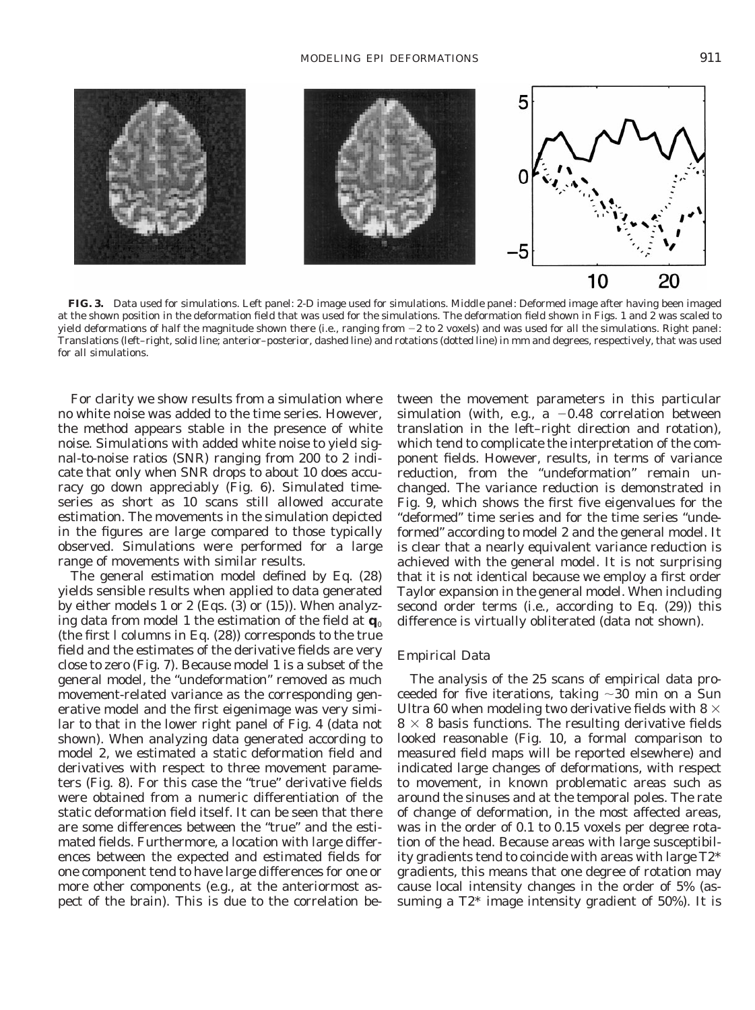

**FIG. 3.** Data used for simulations. Left panel: 2-D image used for simulations. Middle panel: Deformed image after having been imaged at the shown position in the deformation field that was used for the simulations. The deformation field shown in Figs. 1 and 2 was scaled to yield deformations of half the magnitude shown there (i.e., ranging from  $-2$  to 2 voxels) and was used for all the simulations. Right panel: Translations (left–right, solid line; anterior–posterior, dashed line) and rotations (dotted line) in mm and degrees, respectively, that was used for all simulations.

For clarity we show results from a simulation where no white noise was added to the time series. However, the method appears stable in the presence of white noise. Simulations with added white noise to yield signal-to-noise ratios (SNR) ranging from 200 to 2 indicate that only when SNR drops to about 10 does accuracy go down appreciably (Fig. 6). Simulated timeseries as short as 10 scans still allowed accurate estimation. The movements in the simulation depicted in the figures are large compared to those typically observed. Simulations were performed for a large range of movements with similar results.

The general estimation model defined by Eq. (28) yields sensible results when applied to data generated by either models 1 or 2 (Eqs. (3) or (15)). When analyzing data from model 1 the estimation of the field at  $\mathbf{q}_0$ (the first *l* columns in Eq. (28)) corresponds to the true field and the estimates of the derivative fields are very close to zero (Fig. 7). Because model 1 is a subset of the general model, the "undeformation" removed as much movement-related variance as the corresponding generative model and the first eigenimage was very similar to that in the lower right panel of Fig. 4 (data not shown). When analyzing data generated according to model 2, we estimated a static deformation field and derivatives with respect to three movement parameters (Fig. 8). For this case the "true" derivative fields were obtained from a numeric differentiation of the static deformation field itself. It can be seen that there are some differences between the "true" and the estimated fields. Furthermore, a location with large differences between the expected and estimated fields for one component tend to have large differences for one or more other components (e.g., at the anteriormost aspect of the brain). This is due to the correlation be-

tween the movement parameters in this particular simulation (with, e.g., a  $-0.48$  correlation between translation in the left–right direction and rotation), which tend to complicate the interpretation of the component fields. However, results, in terms of variance reduction, from the "undeformation" remain unchanged. The variance reduction is demonstrated in Fig. 9, which shows the first five eigenvalues for the "deformed" time series and for the time series "undeformed" according to model 2 and the general model. It is clear that a nearly equivalent variance reduction is achieved with the general model. It is not surprising that it is not identical because we employ a first order Taylor expansion in the general model. When including second order terms (i.e., according to Eq. (29)) this difference is virtually obliterated (data not shown).

# *Empirical Data*

The analysis of the 25 scans of empirical data proceeded for five iterations, taking  $\sim$ 30 min on a Sun Ultra 60 when modeling two derivative fields with 8  $\times$  $8 \times 8$  basis functions. The resulting derivative fields looked reasonable (Fig. 10, a formal comparison to measured field maps will be reported elsewhere) and indicated large changes of deformations, with respect to movement, in known problematic areas such as around the sinuses and at the temporal poles. The rate of change of deformation, in the most affected areas, was in the order of 0.1 to 0.15 voxels per degree rotation of the head. Because areas with large susceptibility gradients tend to coincide with areas with large T2\* gradients, this means that one degree of rotation may cause local intensity changes in the order of 5% (assuming a T2\* image intensity gradient of 50%). It is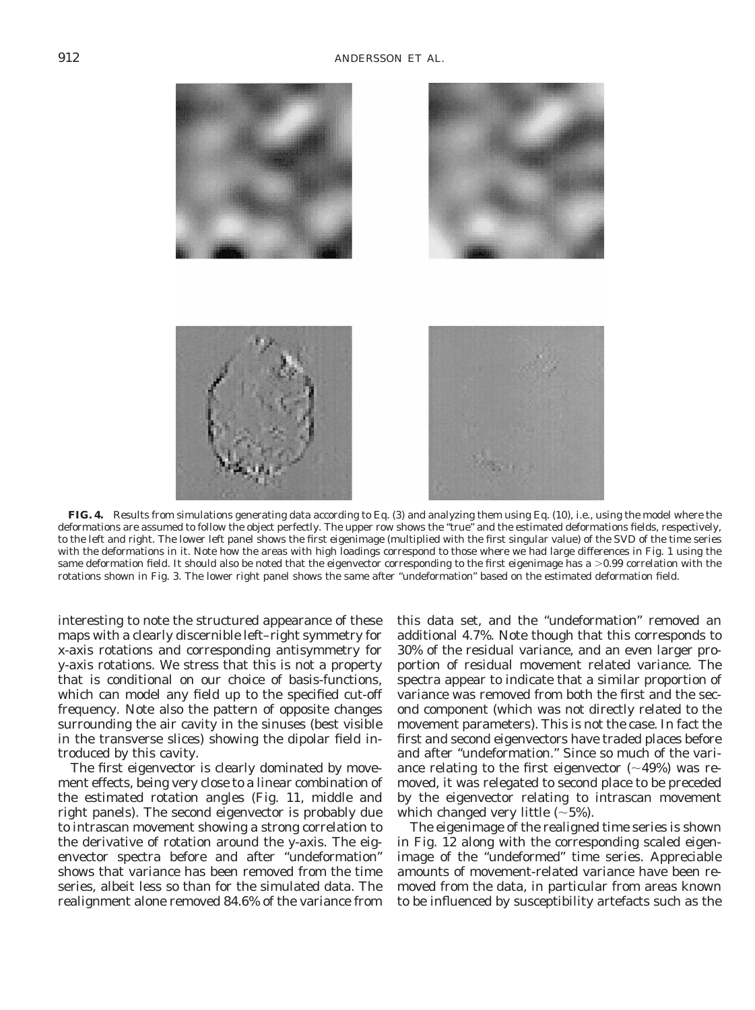

**FIG. 4.** Results from simulations generating data according to Eq. (3) and analyzing them using Eq. (10), i.e., using the model where the deformations are assumed to follow the object perfectly. The upper row shows the "true" and the estimated deformations fields, respectively, to the left and right. The lower left panel shows the first eigenimage (multiplied with the first singular value) of the SVD of the time series with the deformations in it. Note how the areas with high loadings correspond to those where we had large differences in Fig. 1 using the same deformation field. It should also be noted that the eigenvector corresponding to the first eigenimage has a  $>0.99$  correlation with the rotations shown in Fig. 3. The lower right panel shows the same after "undeformation" based on the estimated deformation field.

interesting to note the structured appearance of these maps with a clearly discernible left–right symmetry for x-axis rotations and corresponding antisymmetry for y-axis rotations. We stress that this is not a property that is conditional on our choice of basis-functions, which can model any field up to the specified cut-off frequency. Note also the pattern of opposite changes surrounding the air cavity in the sinuses (best visible in the transverse slices) showing the dipolar field introduced by this cavity.

The first eigenvector is clearly dominated by movement effects, being very close to a linear combination of the estimated rotation angles (Fig. 11, middle and right panels). The second eigenvector is probably due to intrascan movement showing a strong correlation to the derivative of rotation around the y-axis. The eigenvector spectra before and after "undeformation" shows that variance has been removed from the time series, albeit less so than for the simulated data. The realignment alone removed 84.6% of the variance from

this data set, and the "undeformation" removed an additional 4.7%. Note though that this corresponds to 30% of the residual variance, and an even larger proportion of residual movement related variance. The spectra appear to indicate that a similar proportion of variance was removed from both the first and the second component (which was not directly related to the movement parameters). This is not the case. In fact the first and second eigenvectors have traded places before and after "undeformation." Since so much of the variance relating to the first eigenvector  $(-49%)$  was removed, it was relegated to second place to be preceded by the eigenvector relating to intrascan movement which changed very little  $(\sim 5\%)$ .

The eigenimage of the realigned time series is shown in Fig. 12 along with the corresponding scaled eigenimage of the "undeformed" time series. Appreciable amounts of movement-related variance have been removed from the data, in particular from areas known to be influenced by susceptibility artefacts such as the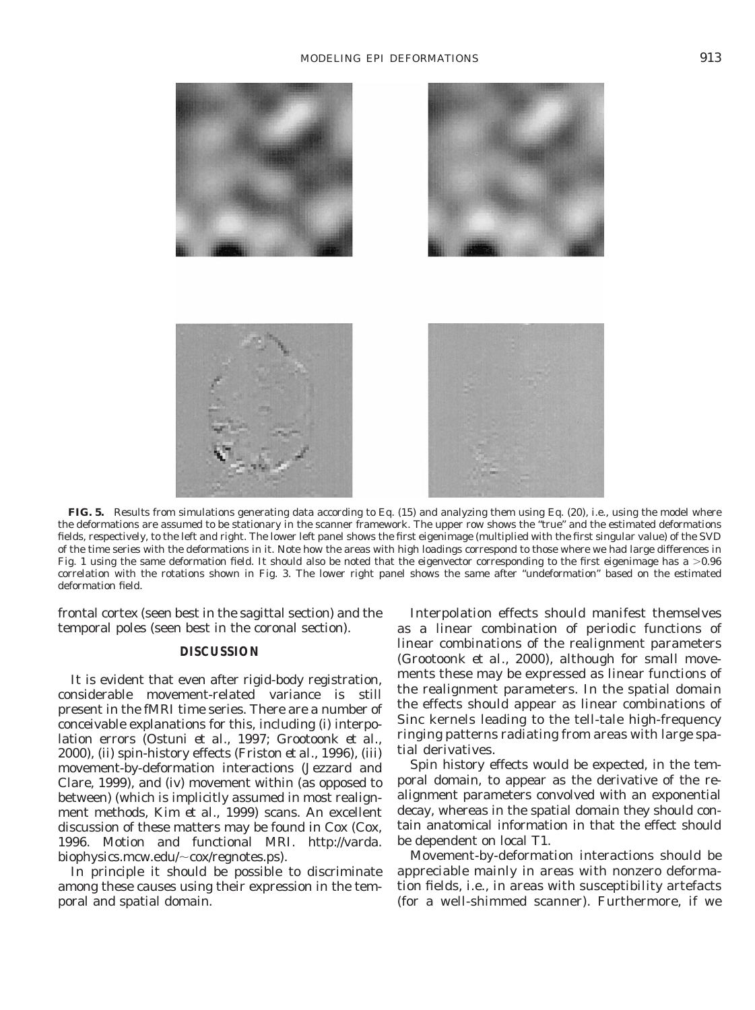

**FIG. 5.** Results from simulations generating data according to Eq. (15) and analyzing them using Eq. (20), i.e., using the model where the deformations are assumed to be stationary in the scanner framework. The upper row shows the "true" and the estimated deformations fields, respectively, to the left and right. The lower left panel shows the first eigenimage (multiplied with the first singular value) of the SVD of the time series with the deformations in it. Note how the areas with high loadings correspond to those where we had large differences in Fig. 1 using the same deformation field. It should also be noted that the eigenvector corresponding to the first eigenimage has a  $>0.96$ correlation with the rotations shown in Fig. 3. The lower right panel shows the same after "undeformation" based on the estimated deformation field.

frontal cortex (seen best in the sagittal section) and the temporal poles (seen best in the coronal section).

#### **DISCUSSION**

It is evident that even after rigid-body registration, considerable movement-related variance is still present in the fMRI time series. There are a number of conceivable explanations for this, including (i) interpolation errors (Ostuni *et al.,* 1997; Grootoonk *et al.,* 2000), (ii) spin-history effects (Friston *et al.,* 1996), (iii) movement-by-deformation interactions (Jezzard and Clare, 1999), and (iv) movement within (as opposed to between) (which is implicitly assumed in most realignment methods, Kim *et al.,* 1999) scans. An excellent discussion of these matters may be found in Cox (Cox, 1996. Motion and functional MRI. http://varda. biophysics.mcw.edu/ $\sim$ cox/regnotes.ps).

In principle it should be possible to discriminate among these causes using their expression in the temporal and spatial domain.

Interpolation effects should manifest themselves as a linear combination of periodic functions of linear combinations of the realignment parameters (Grootoonk *et al.,* 2000), although for small movements these may be expressed as linear functions of the realignment parameters. In the spatial domain the effects should appear as linear combinations of Sinc kernels leading to the tell-tale high-frequency ringing patterns radiating from areas with large spatial derivatives.

Spin history effects would be expected, in the temporal domain, to appear as the derivative of the realignment parameters convolved with an exponential decay, whereas in the spatial domain they should contain anatomical information in that the effect should be dependent on local T1.

Movement-by-deformation interactions should be appreciable mainly in areas with nonzero deformation fields, i.e., in areas with susceptibility artefacts (for a well-shimmed scanner). Furthermore, if we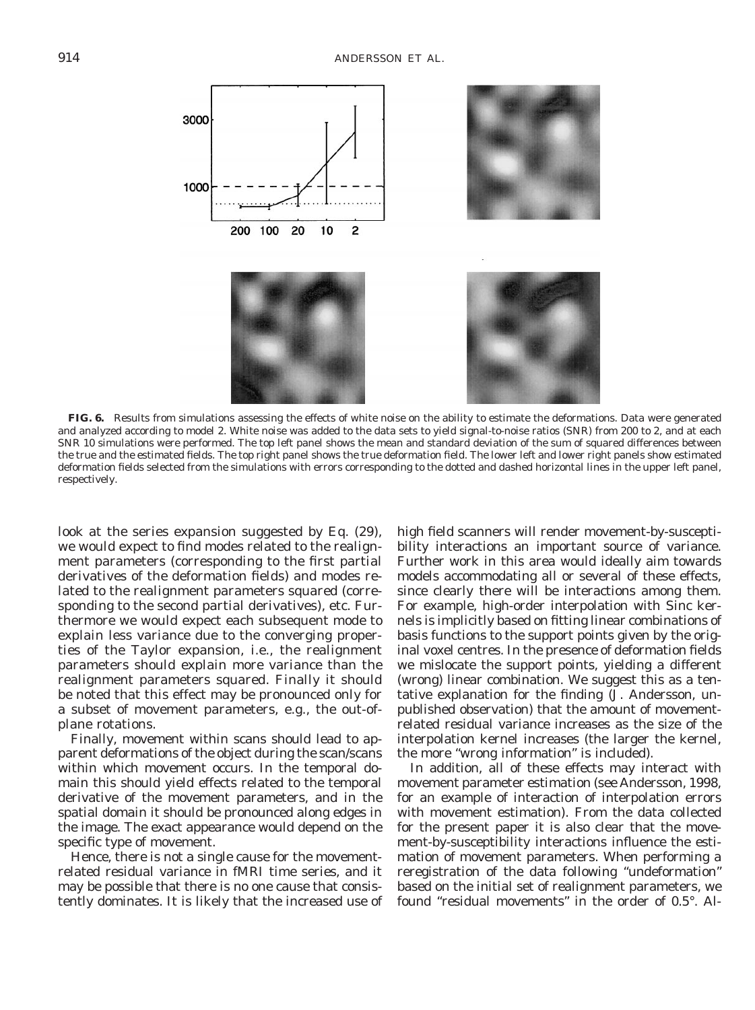

**FIG. 6.** Results from simulations assessing the effects of white noise on the ability to estimate the deformations. Data were generated and analyzed according to model 2. White noise was added to the data sets to yield signal-to-noise ratios (SNR) from 200 to 2, and at each SNR 10 simulations were performed. The top left panel shows the mean and standard deviation of the sum of squared differences between the true and the estimated fields. The top right panel shows the true deformation field. The lower left and lower right panels show estimated deformation fields selected from the simulations with errors corresponding to the dotted and dashed horizontal lines in the upper left panel, respectively.

look at the series expansion suggested by Eq. (29), we would expect to find modes related to the realignment parameters (corresponding to the first partial derivatives of the deformation fields) and modes related to the realignment parameters squared (corresponding to the second partial derivatives), etc. Furthermore we would expect each subsequent mode to explain less variance due to the converging properties of the Taylor expansion, i.e., the realignment parameters should explain more variance than the realignment parameters squared. Finally it should be noted that this effect may be pronounced only for a subset of movement parameters, e.g., the out-ofplane rotations.

Finally, movement within scans should lead to apparent deformations of the object during the scan/scans within which movement occurs. In the temporal domain this should yield effects related to the temporal derivative of the movement parameters, and in the spatial domain it should be pronounced along edges in the image. The exact appearance would depend on the specific type of movement.

Hence, there is not a single cause for the movementrelated residual variance in fMRI time series, and it may be possible that there is no one cause that consistently dominates. It is likely that the increased use of high field scanners will render movement-by-susceptibility interactions an important source of variance. Further work in this area would ideally aim towards models accommodating all or several of these effects, since clearly there will be interactions among them. For example, high-order interpolation with Sinc kernels is implicitly based on fitting linear combinations of basis functions to the support points given by the original voxel centres. In the presence of deformation fields we mislocate the support points, yielding a different (wrong) linear combination. We suggest this as a tentative explanation for the finding (J. Andersson, unpublished observation) that the amount of movementrelated residual variance increases as the size of the interpolation kernel increases (the larger the kernel, the more "wrong information" is included).

In addition, all of these effects may interact with movement parameter estimation (see Andersson, 1998, for an example of interaction of interpolation errors with movement estimation). From the data collected for the present paper it is also clear that the movement-by-susceptibility interactions influence the estimation of movement parameters. When performing a reregistration of the data following "undeformation" based on the initial set of realignment parameters, we found "residual movements" in the order of 0.5°. Al-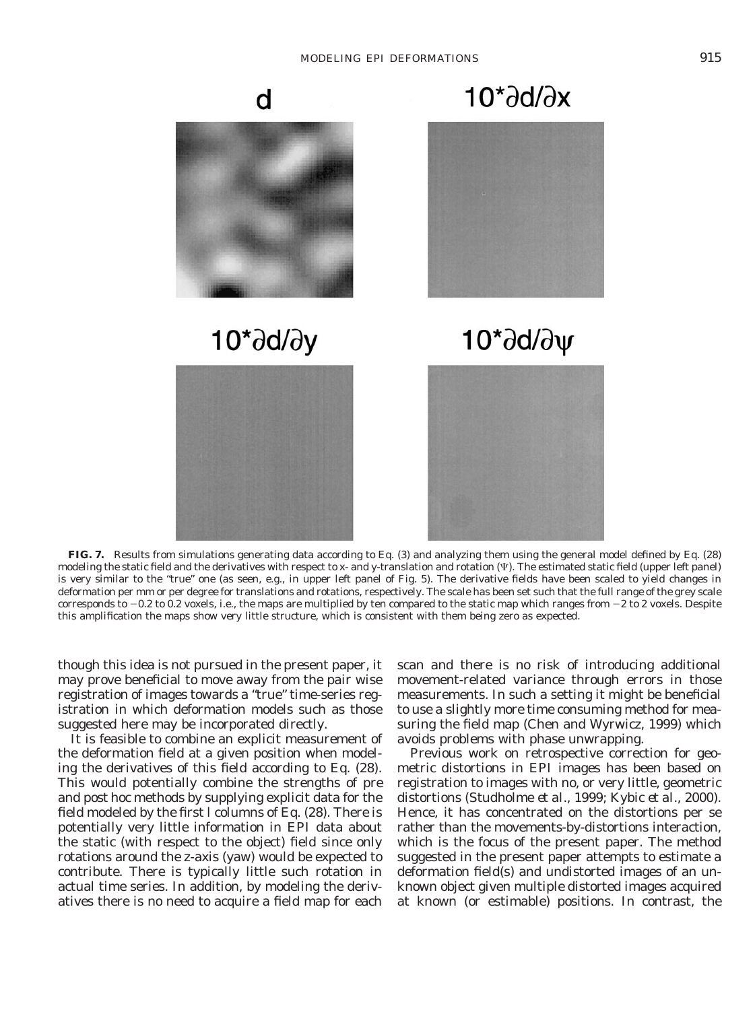

**FIG. 7.** Results from simulations generating data according to Eq. (3) and analyzing them using the general model defined by Eq. (28) modeling the static field and the derivatives with respect to x- and y-translation and rotation  $(\Psi)$ . The estimated static field (upper left panel) is very similar to the "true" one (as seen, e.g., in upper left panel of Fig. 5). The derivative fields have been scaled to yield changes in deformation per mm or per degree for translations and rotations, respectively. The scale has been set such that the full range of the grey scale corresponds to  $-0.2$  to 0.2 voxels, i.e., the maps are multiplied by ten compared to the static map which ranges from  $-2$  to 2 voxels. Despite this amplification the maps show very little structure, which is consistent with them being zero as expected.

though this idea is not pursued in the present paper, it may prove beneficial to move away from the pair wise registration of images towards a "true" time-series registration in which deformation models such as those suggested here may be incorporated directly.

It is feasible to combine an explicit measurement of the deformation field at a given position when modeling the derivatives of this field according to Eq. (28). This would potentially combine the strengths of *pre* and *post hoc* methods by supplying explicit data for the field modeled by the first *l* columns of Eq. (28). There is potentially very little information in EPI data about the static (with respect to the object) field since only rotations around the z-axis (yaw) would be expected to contribute. There is typically little such rotation in actual time series. In addition, by modeling the derivatives there is no need to acquire a field map for each scan and there is no risk of introducing additional movement-related variance through errors in those measurements. In such a setting it might be beneficial to use a slightly more time consuming method for measuring the field map (Chen and Wyrwicz, 1999) which avoids problems with phase unwrapping.

Previous work on retrospective correction for geometric distortions in EPI images has been based on registration to images with no, or very little, geometric distortions (Studholme *et al.,* 1999; Kybic *et al.,* 2000). Hence, it has concentrated on the distortions per se rather than the movements-by-distortions interaction, which is the focus of the present paper. The method suggested in the present paper attempts to estimate a deformation field(s) and undistorted images of an unknown object given multiple distorted images acquired at known (or estimable) positions. In contrast, the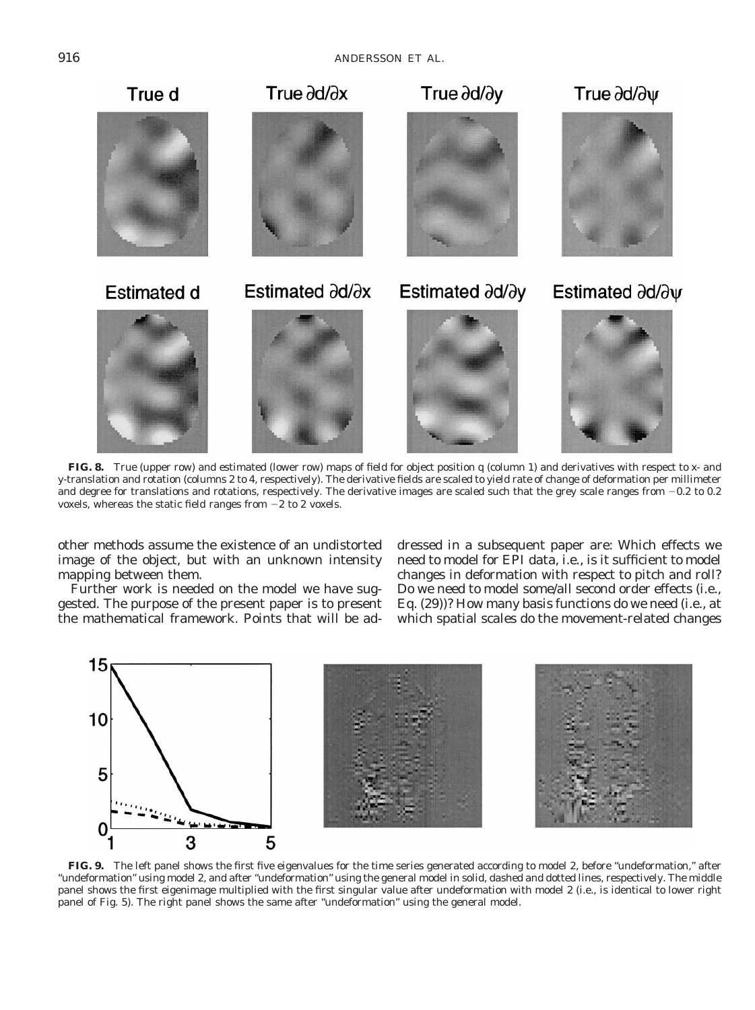

**FIG. 8.** True (upper row) and estimated (lower row) maps of field for object position *q* (column 1) and derivatives with respect to x- and y-translation and rotation (columns 2 to 4, respectively). The derivative fields are scaled to yield rate of change of deformation per millimeter and degree for translations and rotations, respectively. The derivative images are scaled such that the grey scale ranges from  $-0.2$  to 0.2 voxels, whereas the static field ranges from  $-2$  to 2 voxels.

other methods assume the existence of an undistorted image of the object, but with an unknown intensity mapping between them.

Further work is needed on the model we have suggested. The purpose of the present paper is to present the mathematical framework. Points that will be ad-

dressed in a subsequent paper are: Which effects we need to model for EPI data, i.e., is it sufficient to model changes in deformation with respect to pitch and roll? Do we need to model some/all second order effects (i.e., Eq. (29))? How many basis functions do we need (i.e., at which spatial scales do the movement-related changes



**FIG. 9.** The left panel shows the first five eigenvalues for the time series generated according to model 2, before "undeformation," after "undeformation" using model 2, and after "undeformation" using the general model in solid, dashed and dotted lines, respectively. The middle panel shows the first eigenimage multiplied with the first singular value after undeformation with model 2 (i.e., is identical to lower right panel of Fig. 5). The right panel shows the same after "undeformation" using the general model.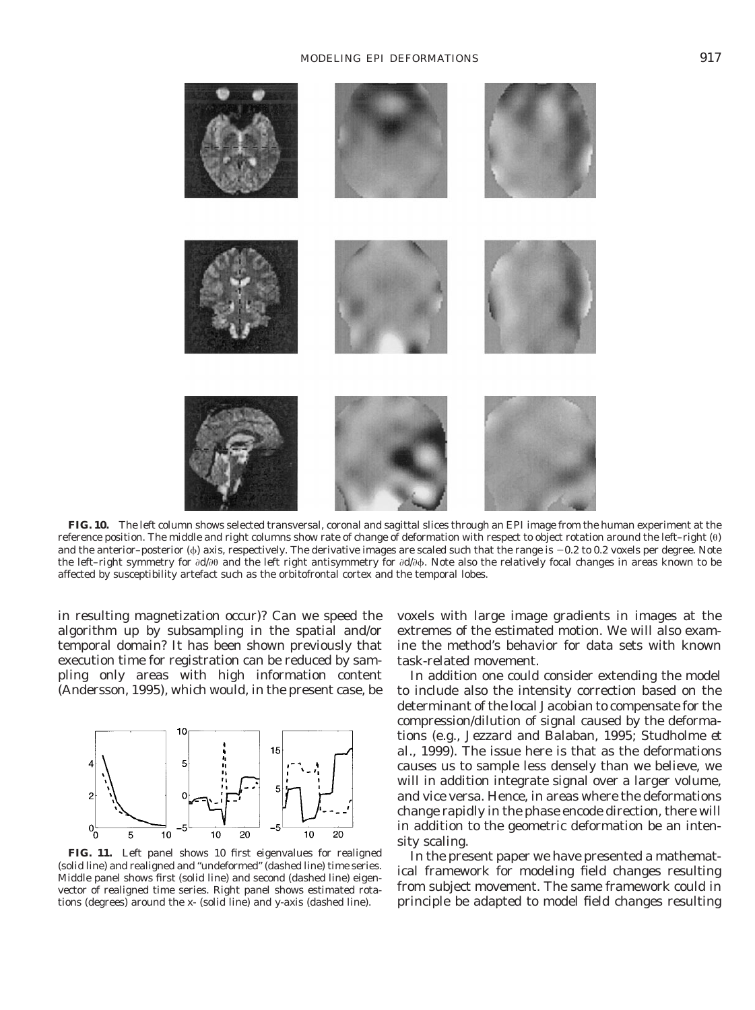

**FIG. 10.** The left column shows selected transversal, coronal and sagittal slices through an EPI image from the human experiment at the reference position. The middle and right columns show rate of change of deformation with respect to object rotation around the left–right  $(\theta)$ and the anterior–posterior  $(\phi)$  axis, respectively. The derivative images are scaled such that the range is  $-0.2$  to 0.2 voxels per degree. Note the left–right symmetry for  $\partial d/\partial \theta$  and the left right antisymmetry for  $\partial d/\partial \phi$ . Note also the relatively focal changes in areas known to be affected by susceptibility artefact such as the orbitofrontal cortex and the temporal lobes.

in resulting magnetization occur)? Can we speed the algorithm up by subsampling in the spatial and/or temporal domain? It has been shown previously that execution time for registration can be reduced by sampling only areas with high information content (Andersson, 1995), which would, in the present case, be



**FIG. 11.** Left panel shows 10 first eigenvalues for realigned (solid line) and realigned and "undeformed" (dashed line) time series. Middle panel shows first (solid line) and second (dashed line) eigenvector of realigned time series. Right panel shows estimated rotations (degrees) around the x- (solid line) and y-axis (dashed line).

voxels with large image gradients in images at the extremes of the estimated motion. We will also examine the method's behavior for data sets with known task-related movement.

In addition one could consider extending the model to include also the intensity correction based on the determinant of the local Jacobian to compensate for the compression/dilution of signal caused by the deformations (e.g., Jezzard and Balaban, 1995; Studholme *et al.,* 1999). The issue here is that as the deformations causes us to sample less densely than we believe, we will in addition integrate signal over a larger volume, and vice versa. Hence, in areas where the deformations change rapidly in the phase encode direction, there will in addition to the geometric deformation be an intensity scaling.

In the present paper we have presented a mathematical framework for modeling field changes resulting from subject movement. The same framework could in principle be adapted to model field changes resulting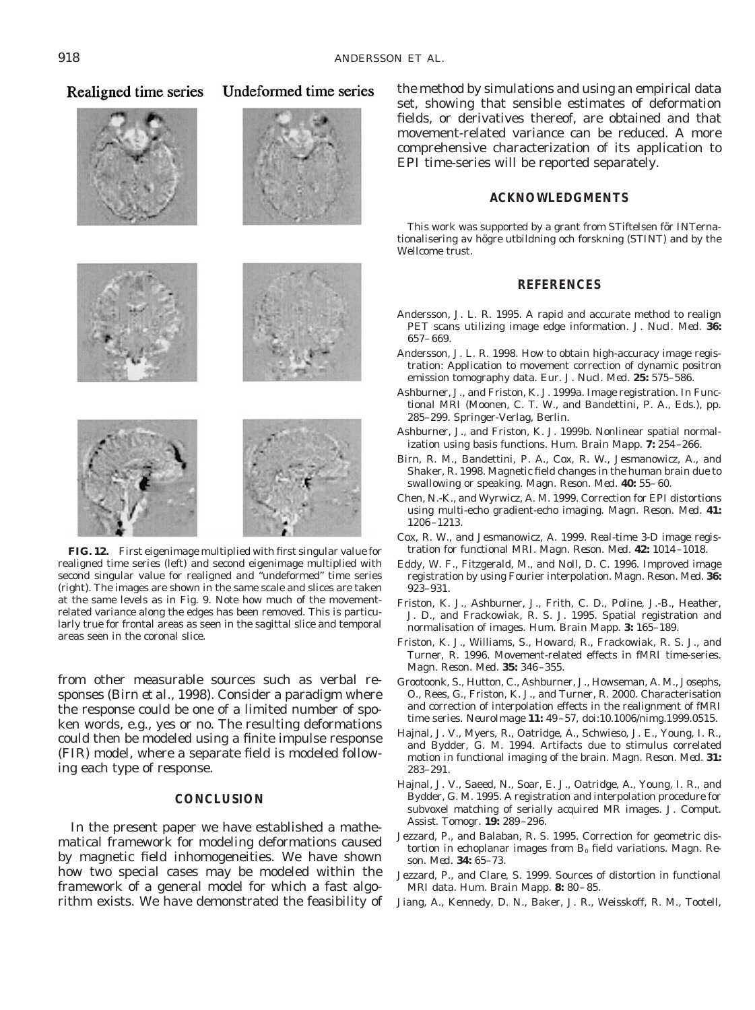Undeformed time series

# Realigned time series



**FIG. 12.** First eigenimage multiplied with first singular value for realigned time series (left) and second eigenimage multiplied with second singular value for realigned and "undeformed" time series (right). The images are shown in the same scale and slices are taken at the same levels as in Fig. 9. Note how much of the movementrelated variance along the edges has been removed. This is particularly true for frontal areas as seen in the sagittal slice and temporal areas seen in the coronal slice.

from other measurable sources such as verbal responses (Birn *et al.,* 1998). Consider a paradigm where the response could be one of a limited number of spoken words, e.g., yes or no. The resulting deformations could then be modeled using a finite impulse response (FIR) model, where a separate field is modeled following each type of response.

# **CONCLUSION**

In the present paper we have established a mathematical framework for modeling deformations caused by magnetic field inhomogeneities. We have shown how two special cases may be modeled within the framework of a general model for which a fast algorithm exists. We have demonstrated the feasibility of the method by simulations and using an empirical data set, showing that sensible estimates of deformation fields, or derivatives thereof, are obtained and that movement-related variance can be reduced. A more comprehensive characterization of its application to EPI time-series will be reported separately.

#### **ACKNOWLEDGMENTS**

This work was supported by a grant from STiftelsen för INTernationalisering av högre utbildning och forskning (STINT) and by the Wellcome trust.

#### **REFERENCES**

- Andersson, J. L. R. 1995. A rapid and accurate method to realign PET scans utilizing image edge information. *J. Nucl. Med.* **36:** 657–669.
- Andersson, J. L. R. 1998. How to obtain high-accuracy image registration: Application to movement correction of dynamic positron emission tomography data. *Eur. J. Nucl. Med.* **25:** 575–586.
- Ashburner, J., and Friston, K. J. 1999a. Image registration. In *Functional MRI* (Moonen, C. T. W., and Bandettini, P. A., Eds.), pp. 285–299. Springer-Verlag, Berlin.
- Ashburner, J., and Friston, K. J. 1999b. Nonlinear spatial normalization using basis functions. *Hum. Brain Mapp.* **7:** 254–266.
- Birn, R. M., Bandettini, P. A., Cox, R. W., Jesmanowicz, A., and Shaker, R. 1998. Magnetic field changes in the human brain due to swallowing or speaking. *Magn. Reson. Med.* **40:** 55–60.
- Chen, N.-K., and Wyrwicz, A. M. 1999. Correction for EPI distortions using multi-echo gradient-echo imaging. *Magn. Reson. Med.* **41:** 1206–1213.
- Cox, R. W., and Jesmanowicz, A. 1999. Real-time 3-D image registration for functional MRI. *Magn. Reson. Med.* **42:** 1014–1018.
- Eddy, W. F., Fitzgerald, M., and Noll, D. C. 1996. Improved image registration by using Fourier interpolation. *Magn. Reson. Med.* **36:** 923–931.
- Friston, K. J., Ashburner, J., Frith, C. D., Poline, J.-B., Heather, J. D., and Frackowiak, R. S. J. 1995. Spatial registration and normalisation of images. *Hum. Brain Mapp.* **3:** 165–189.
- Friston, K. J., Williams, S., Howard, R., Frackowiak, R. S. J., and Turner, R. 1996. Movement-related effects in fMRI time-series. *Magn. Reson. Med.* **35:** 346–355.
- Grootoonk, S., Hutton, C., Ashburner, J., Howseman, A. M., Josephs, O., Rees, G., Friston, K. J., and Turner, R. 2000. Characterisation and correction of interpolation effects in the realignment of fMRI time series. *NeuroImage* **11:** 49–57, doi:10.1006/nimg.1999.0515.
- Hajnal, J. V., Myers, R., Oatridge, A., Schwieso, J. E., Young, I. R., and Bydder, G. M. 1994. Artifacts due to stimulus correlated motion in functional imaging of the brain. *Magn. Reson. Med.* **31:** 283–291.
- Hajnal, J. V., Saeed, N., Soar, E. J., Oatridge, A., Young, I. R., and Bydder, G. M. 1995. A registration and interpolation procedure for subvoxel matching of serially acquired MR images. *J. Comput. Assist. Tomogr.* **19:** 289–296.
- Jezzard, P., and Balaban, R. S. 1995. Correction for geometric distortion in echoplanar images from B<sub>0</sub> field variations. Magn. Re*son. Med.* **34:** 65–73.
- Jezzard, P., and Clare, S. 1999. Sources of distortion in functional MRI data. *Hum. Brain Mapp.* **8:** 80–85.
- Jiang, A., Kennedy, D. N., Baker, J. R., Weisskoff, R. M., Tootell,